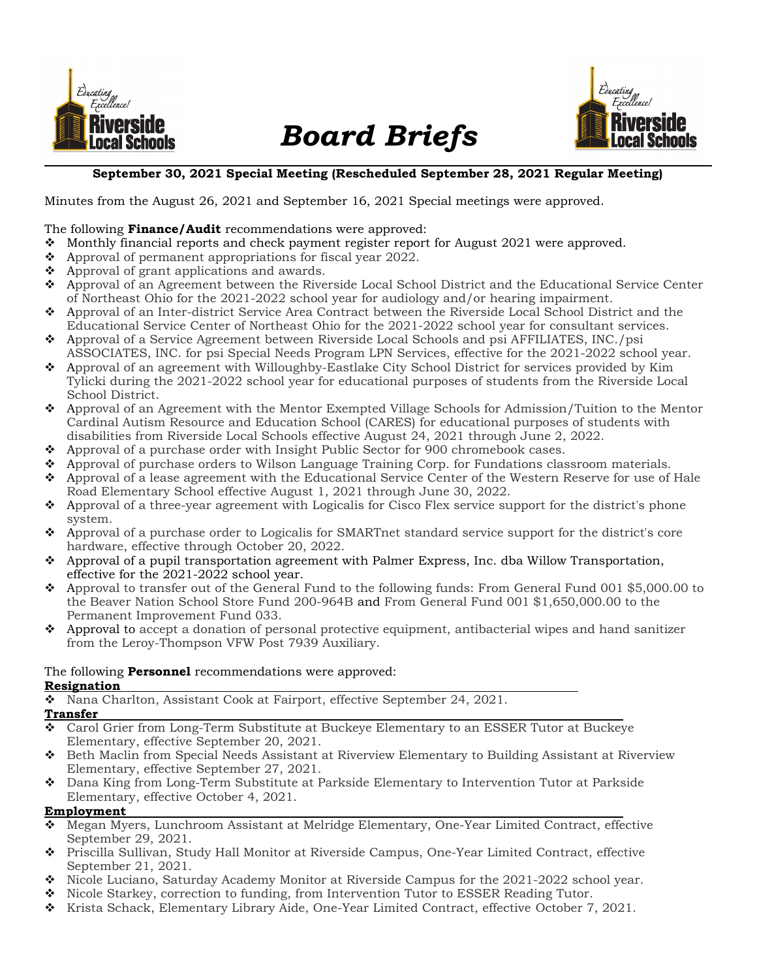

# Board Briefs



#### September 30, 2021 Special Meeting (Rescheduled September 28, 2021 Regular Meeting)

Minutes from the August 26, 2021 and September 16, 2021 Special meetings were approved.

# The following **Finance/Audit** recommendations were approved:<br> **•** Monthly financial reports and check nayment register report

- Monthly financial reports and check payment register report for August 2021 were approved.
- $\bullet$  Approval of permanent appropriations for fiscal year 2022.
- $\triangle$  Approval of grant applications and awards.
- Approval of an Agreement between the Riverside Local School District and the Educational Service Center of Northeast Ohio for the 2021-2022 school year for audiology and/or hearing impairment.
- Approval of an Inter-district Service Area Contract between the Riverside Local School District and the Educational Service Center of Northeast Ohio for the 2021-2022 school year for consultant services.
- Approval of a Service Agreement between Riverside Local Schools and psi AFFILIATES, INC./psi ASSOCIATES, INC. for psi Special Needs Program LPN Services, effective for the 2021-2022 school year.
- Approval of an agreement with Willoughby-Eastlake City School District for services provided by Kim Tylicki during the 2021-2022 school year for educational purposes of students from the Riverside Local School District.
- Approval of an Agreement with the Mentor Exempted Village Schools for Admission/Tuition to the Mentor Cardinal Autism Resource and Education School (CARES) for educational purposes of students with disabilities from Riverside Local Schools effective August 24, 2021 through June 2, 2022.
- Approval of a purchase order with Insight Public Sector for 900 chromebook cases.
- Approval of purchase orders to Wilson Language Training Corp. for Fundations classroom materials.
- Approval of a lease agreement with the Educational Service Center of the Western Reserve for use of Hale Road Elementary School effective August 1, 2021 through June 30, 2022.
- Approval of a three-year agreement with Logicalis for Cisco Flex service support for the district's phone system.
- Approval of a purchase order to Logicalis for SMARTnet standard service support for the district's core hardware, effective through October 20, 2022.
- $\bullet$  Approval of a pupil transportation agreement with Palmer Express, Inc. dba Willow Transportation, effective for the 2021-2022 school year.
- Approval to transfer out of the General Fund to the following funds: From General Fund 001 \$5,000.00 to the Beaver Nation School Store Fund 200-964B and From General Fund 001 \$1,650,000.00 to the Permanent Improvement Fund 033.
- $\bullet$  Approval to accept a donation of personal protective equipment, antibacterial wipes and hand sanitizer from the Leroy-Thompson VFW Post 7939 Auxiliary.

#### The following **Personnel** recommendations were approved: Resignation

Nana Charlton, Assistant Cook at Fairport, effective September 24, 2021.

#### Transfer

- Carol Grier from Long-Term Substitute at Buckeye Elementary to an ESSER Tutor at Buckeye Elementary, effective September 20, 2021.
- Beth Maclin from Special Needs Assistant at Riverview Elementary to Building Assistant at Riverview Elementary, effective September 27, 2021.
- Dana King from Long-Term Substitute at Parkside Elementary to Intervention Tutor at Parkside Elementary, effective October 4, 2021.

# Employment

- Megan Myers, Lunchroom Assistant at Melridge Elementary, One-Year Limited Contract, effective September 29, 2021.
- Priscilla Sullivan, Study Hall Monitor at Riverside Campus, One-Year Limited Contract, effective September 21, 2021.
- Nicole Luciano, Saturday Academy Monitor at Riverside Campus for the 2021-2022 school year.
- ◆ Nicole Starkey, correction to funding, from Intervention Tutor to ESSER Reading Tutor.
- Krista Schack, Elementary Library Aide, One-Year Limited Contract, effective October 7, 2021.